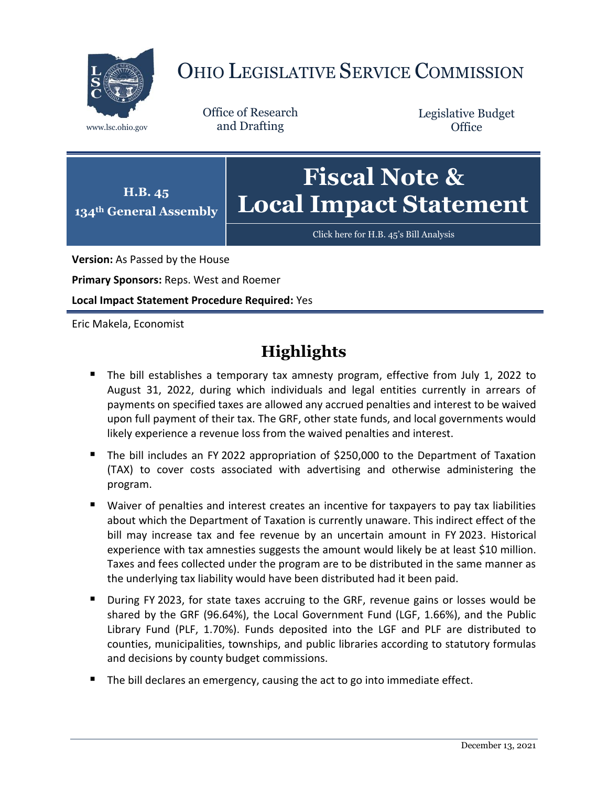

# OHIO LEGISLATIVE SERVICE COMMISSION

Office of Research www.lsc.ohio.gov and Drafting

Legislative Budget **Office** 



[Click here for H.B. 45](https://www.legislature.ohio.gov/legislation/legislation-documents?id=GA134-HB-45)'s Bill Analysis

**Version:** As Passed by the House

**Primary Sponsors:** Reps. West and Roemer

**Local Impact Statement Procedure Required:** Yes

Eric Makela, Economist

## **Highlights**

- The bill establishes a temporary tax amnesty program, effective from July 1, 2022 to August 31, 2022, during which individuals and legal entities currently in arrears of payments on specified taxes are allowed any accrued penalties and interest to be waived upon full payment of their tax. The GRF, other state funds, and local governments would likely experience a revenue loss from the waived penalties and interest.
- The bill includes an FY 2022 appropriation of \$250,000 to the Department of Taxation (TAX) to cover costs associated with advertising and otherwise administering the program.
- Waiver of penalties and interest creates an incentive for taxpayers to pay tax liabilities about which the Department of Taxation is currently unaware. This indirect effect of the bill may increase tax and fee revenue by an uncertain amount in FY 2023. Historical experience with tax amnesties suggests the amount would likely be at least \$10 million. Taxes and fees collected under the program are to be distributed in the same manner as the underlying tax liability would have been distributed had it been paid.
- During FY 2023, for state taxes accruing to the GRF, revenue gains or losses would be shared by the GRF (96.64%), the Local Government Fund (LGF, 1.66%), and the Public Library Fund (PLF, 1.70%). Funds deposited into the LGF and PLF are distributed to counties, municipalities, townships, and public libraries according to statutory formulas and decisions by county budget commissions.
- The bill declares an emergency, causing the act to go into immediate effect.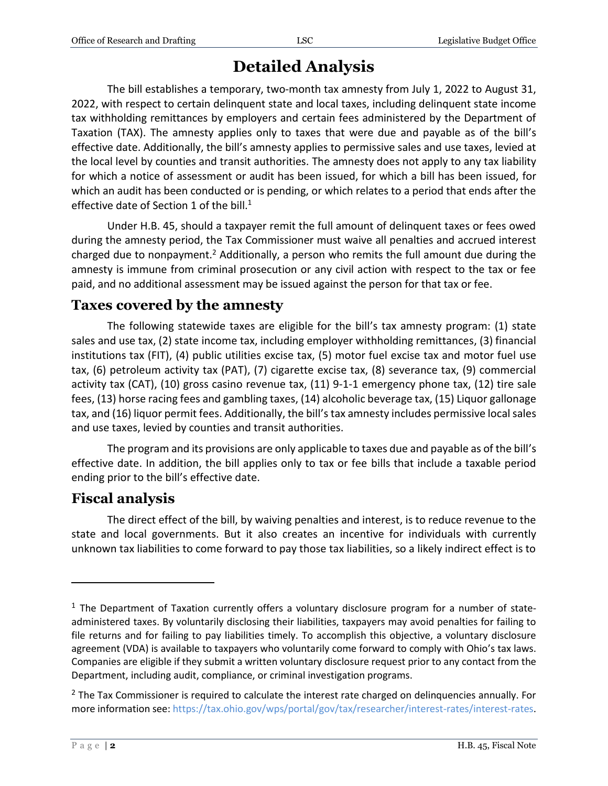### **Detailed Analysis**

The bill establishes a temporary, two-month tax amnesty from July 1, 2022 to August 31, 2022, with respect to certain delinquent state and local taxes, including delinquent state income tax withholding remittances by employers and certain fees administered by the Department of Taxation (TAX). The amnesty applies only to taxes that were due and payable as of the bill's effective date. Additionally, the bill's amnesty applies to permissive sales and use taxes, levied at the local level by counties and transit authorities. The amnesty does not apply to any tax liability for which a notice of assessment or audit has been issued, for which a bill has been issued, for which an audit has been conducted or is pending, or which relates to a period that ends after the effective date of Section 1 of the bill.<sup>1</sup>

Under H.B. 45, should a taxpayer remit the full amount of delinquent taxes or fees owed during the amnesty period, the Tax Commissioner must waive all penalties and accrued interest charged due to nonpayment.<sup>2</sup> Additionally, a person who remits the full amount due during the amnesty is immune from criminal prosecution or any civil action with respect to the tax or fee paid, and no additional assessment may be issued against the person for that tax or fee.

#### **Taxes covered by the amnesty**

The following statewide taxes are eligible for the bill's tax amnesty program: (1) state sales and use tax, (2) state income tax, including employer withholding remittances, (3) financial institutions tax (FIT), (4) public utilities excise tax, (5) motor fuel excise tax and motor fuel use tax, (6) petroleum activity tax (PAT), (7) cigarette excise tax, (8) severance tax, (9) commercial activity tax (CAT), (10) gross casino revenue tax, (11) 9-1-1 emergency phone tax, (12) tire sale fees, (13) horse racing fees and gambling taxes, (14) alcoholic beverage tax, (15) Liquor gallonage tax, and (16) liquor permit fees. Additionally, the bill's tax amnesty includes permissive local sales and use taxes, levied by counties and transit authorities.

The program and its provisions are only applicable to taxes due and payable as of the bill's effective date. In addition, the bill applies only to tax or fee bills that include a taxable period ending prior to the bill's effective date.

#### **Fiscal analysis**

The direct effect of the bill, by waiving penalties and interest, is to reduce revenue to the state and local governments. But it also creates an incentive for individuals with currently unknown tax liabilities to come forward to pay those tax liabilities, so a likely indirect effect is to

 $\overline{a}$ 

 $<sup>1</sup>$  The Department of Taxation currently offers a voluntary disclosure program for a number of state-</sup> administered taxes. By voluntarily disclosing their liabilities, taxpayers may avoid penalties for failing to file returns and for failing to pay liabilities timely. To accomplish this objective, a voluntary disclosure agreement (VDA) is available to taxpayers who voluntarily come forward to comply with Ohio's tax laws. Companies are eligible if they submit a written voluntary disclosure request prior to any contact from the Department, including audit, compliance, or criminal investigation programs.

 $2$  The Tax Commissioner is required to calculate the interest rate charged on delinquencies annually. For more information see: [https://tax.ohio.gov/wps/portal/gov/tax/researcher/interest-rates/interest-rates.](https://tax.ohio.gov/wps/portal/gov/tax/researcher/interest-rates/interest-rates)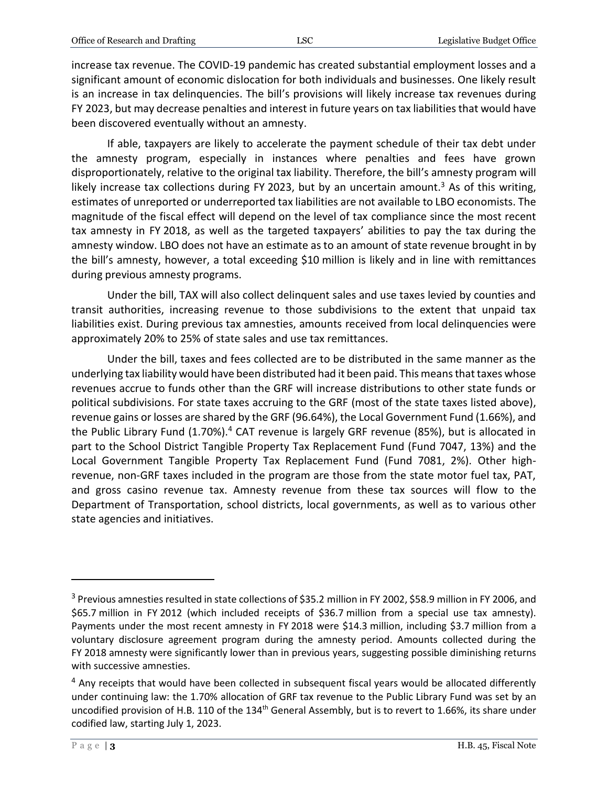increase tax revenue. The COVID-19 pandemic has created substantial employment losses and a significant amount of economic dislocation for both individuals and businesses. One likely result is an increase in tax delinquencies. The bill's provisions will likely increase tax revenues during FY 2023, but may decrease penalties and interest in future years on tax liabilities that would have been discovered eventually without an amnesty.

If able, taxpayers are likely to accelerate the payment schedule of their tax debt under the amnesty program, especially in instances where penalties and fees have grown disproportionately, relative to the original tax liability. Therefore, the bill's amnesty program will likely increase tax collections during FY 2023, but by an uncertain amount.<sup>3</sup> As of this writing, estimates of unreported or underreported tax liabilities are not available to LBO economists. The magnitude of the fiscal effect will depend on the level of tax compliance since the most recent tax amnesty in FY 2018, as well as the targeted taxpayers' abilities to pay the tax during the amnesty window. LBO does not have an estimate as to an amount of state revenue brought in by the bill's amnesty, however, a total exceeding \$10 million is likely and in line with remittances during previous amnesty programs.

Under the bill, TAX will also collect delinquent sales and use taxes levied by counties and transit authorities, increasing revenue to those subdivisions to the extent that unpaid tax liabilities exist. During previous tax amnesties, amounts received from local delinquencies were approximately 20% to 25% of state sales and use tax remittances.

Under the bill, taxes and fees collected are to be distributed in the same manner as the underlying tax liability would have been distributed had it been paid. This means that taxes whose revenues accrue to funds other than the GRF will increase distributions to other state funds or political subdivisions. For state taxes accruing to the GRF (most of the state taxes listed above), revenue gains or losses are shared by the GRF (96.64%), the Local Government Fund (1.66%), and the Public Library Fund (1.70%).<sup>4</sup> CAT revenue is largely GRF revenue (85%), but is allocated in part to the School District Tangible Property Tax Replacement Fund (Fund 7047, 13%) and the Local Government Tangible Property Tax Replacement Fund (Fund 7081, 2%). Other highrevenue, non-GRF taxes included in the program are those from the state motor fuel tax, PAT, and gross casino revenue tax. Amnesty revenue from these tax sources will flow to the Department of Transportation, school districts, local governments, as well as to various other state agencies and initiatives.

 $\overline{a}$ 

<sup>3</sup> Previous amnesties resulted in state collections of \$35.2 million in FY 2002, \$58.9 million in FY 2006, and \$65.7 million in FY 2012 (which included receipts of \$36.7 million from a special use tax amnesty). Payments under the most recent amnesty in FY 2018 were \$14.3 million, including \$3.7 million from a voluntary disclosure agreement program during the amnesty period. Amounts collected during the FY 2018 amnesty were significantly lower than in previous years, suggesting possible diminishing returns with successive amnesties.

 $<sup>4</sup>$  Any receipts that would have been collected in subsequent fiscal years would be allocated differently</sup> under continuing law: the 1.70% allocation of GRF tax revenue to the Public Library Fund was set by an uncodified provision of H.B. 110 of the 134<sup>th</sup> General Assembly, but is to revert to 1.66%, its share under codified law, starting July 1, 2023.